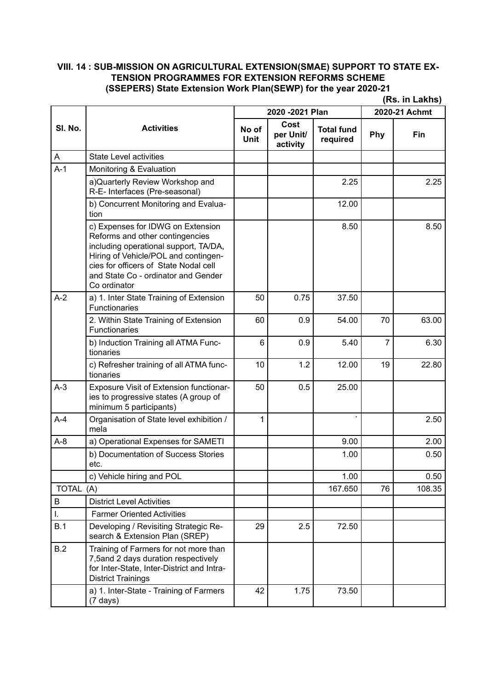**(Rs. in Lakhs)**

|              | <b>Activities</b>                                                                                                                                                                                                                                     | 2020 - 2021 Plan     |                               |                               | 2020-21 Achmt  |        |
|--------------|-------------------------------------------------------------------------------------------------------------------------------------------------------------------------------------------------------------------------------------------------------|----------------------|-------------------------------|-------------------------------|----------------|--------|
| SI. No.      |                                                                                                                                                                                                                                                       | No of<br><b>Unit</b> | Cost<br>per Unit/<br>activity | <b>Total fund</b><br>required | Phy            | Fin    |
| A            | <b>State Level activities</b>                                                                                                                                                                                                                         |                      |                               |                               |                |        |
| $A-1$        | Monitoring & Evaluation                                                                                                                                                                                                                               |                      |                               |                               |                |        |
|              | a) Quarterly Review Workshop and<br>R-E- Interfaces (Pre-seasonal)                                                                                                                                                                                    |                      |                               | 2.25                          |                | 2.25   |
|              | b) Concurrent Monitoring and Evalua-<br>tion                                                                                                                                                                                                          |                      |                               | 12.00                         |                |        |
|              | c) Expenses for IDWG on Extension<br>Reforms and other contingencies<br>including operational support, TA/DA,<br>Hiring of Vehicle/POL and contingen-<br>cies for officers of State Nodal cell<br>and State Co - ordinator and Gender<br>Co ordinator |                      |                               | 8.50                          |                | 8.50   |
| $A-2$        | a) 1. Inter State Training of Extension<br><b>Functionaries</b>                                                                                                                                                                                       | 50                   | 0.75                          | 37.50                         |                |        |
|              | 2. Within State Training of Extension<br><b>Functionaries</b>                                                                                                                                                                                         | 60                   | 0.9                           | 54.00                         | 70             | 63.00  |
|              | b) Induction Training all ATMA Func-<br>tionaries                                                                                                                                                                                                     | 6                    | 0.9                           | 5.40                          | $\overline{7}$ | 6.30   |
|              | c) Refresher training of all ATMA func-<br>tionaries                                                                                                                                                                                                  | 10                   | 1.2                           | 12.00                         | 19             | 22.80  |
| $A-3$        | Exposure Visit of Extension functionar-<br>ies to progressive states (A group of<br>minimum 5 participants)                                                                                                                                           | 50                   | 0.5                           | 25.00                         |                |        |
| $A-4$        | Organisation of State level exhibition /<br>mela                                                                                                                                                                                                      | 1                    |                               |                               |                | 2.50   |
| $A-8$        | a) Operational Expenses for SAMETI                                                                                                                                                                                                                    |                      |                               | 9.00                          |                | 2.00   |
|              | b) Documentation of Success Stories<br>etc.                                                                                                                                                                                                           |                      |                               | 1.00                          |                | 0.50   |
|              | c) Vehicle hiring and POL                                                                                                                                                                                                                             |                      |                               | 1.00                          |                | 0.50   |
| <b>TOTAL</b> | (A)                                                                                                                                                                                                                                                   |                      |                               | 167.650                       | 76             | 108.35 |
| B            | <b>District Level Activities</b>                                                                                                                                                                                                                      |                      |                               |                               |                |        |
| I.           | <b>Farmer Oriented Activities</b>                                                                                                                                                                                                                     |                      |                               |                               |                |        |
| B.1          | Developing / Revisiting Strategic Re-<br>search & Extension Plan (SREP)                                                                                                                                                                               | 29                   | 2.5                           | 72.50                         |                |        |
| B.2          | Training of Farmers for not more than<br>7,5and 2 days duration respectively<br>for Inter-State, Inter-District and Intra-<br><b>District Trainings</b>                                                                                               |                      |                               |                               |                |        |
|              | a) 1. Inter-State - Training of Farmers<br>$(7 \text{ days})$                                                                                                                                                                                         | 42                   | 1.75                          | 73.50                         |                |        |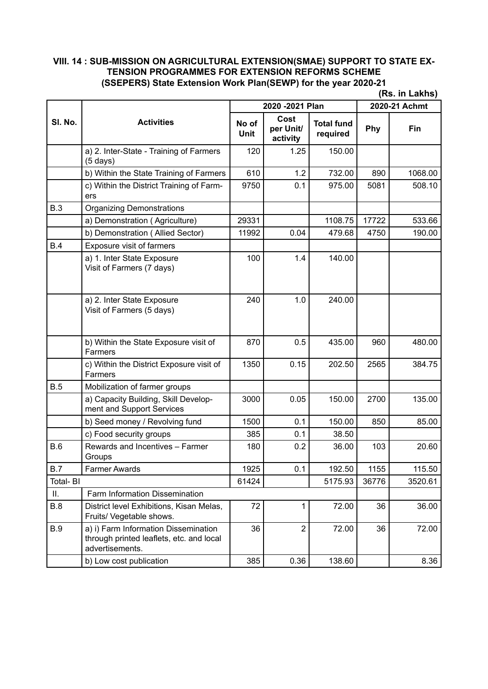|            |                                                                                                     |                      |                               |                               |               | (Rs. in Lakhs) |
|------------|-----------------------------------------------------------------------------------------------------|----------------------|-------------------------------|-------------------------------|---------------|----------------|
|            | <b>Activities</b>                                                                                   | 2020 - 2021 Plan     |                               |                               | 2020-21 Achmt |                |
| SI. No.    |                                                                                                     | No of<br><b>Unit</b> | Cost<br>per Unit/<br>activity | <b>Total fund</b><br>required | Phy           | Fin            |
|            | a) 2. Inter-State - Training of Farmers<br>$(5 \text{ days})$                                       | 120                  | 1.25                          | 150.00                        |               |                |
|            | b) Within the State Training of Farmers                                                             | 610                  | 1.2                           | 732.00                        | 890           | 1068.00        |
|            | c) Within the District Training of Farm-<br>ers                                                     | 9750                 | 0.1                           | 975.00                        | 5081          | 508.10         |
| B.3        | <b>Organizing Demonstrations</b>                                                                    |                      |                               |                               |               |                |
|            | a) Demonstration (Agriculture)                                                                      | 29331                |                               | 1108.75                       | 17722         | 533.66         |
|            | b) Demonstration (Allied Sector)                                                                    | 11992                | 0.04                          | 479.68                        | 4750          | 190.00         |
| B.4        | Exposure visit of farmers                                                                           |                      |                               |                               |               |                |
|            | a) 1. Inter State Exposure<br>Visit of Farmers (7 days)                                             | 100                  | 1.4                           | 140.00                        |               |                |
|            | a) 2. Inter State Exposure<br>Visit of Farmers (5 days)                                             | 240                  | 1.0                           | 240.00                        |               |                |
|            | b) Within the State Exposure visit of<br>Farmers                                                    | 870                  | 0.5                           | 435.00                        | 960           | 480.00         |
|            | c) Within the District Exposure visit of<br><b>Farmers</b>                                          | 1350                 | 0.15                          | 202.50                        | 2565          | 384.75         |
| B.5        | Mobilization of farmer groups                                                                       |                      |                               |                               |               |                |
|            | a) Capacity Building, Skill Develop-<br>ment and Support Services                                   | 3000                 | 0.05                          | 150.00                        | 2700          | 135.00         |
|            | b) Seed money / Revolving fund                                                                      | 1500                 | 0.1                           | 150.00                        | 850           | 85.00          |
|            | c) Food security groups                                                                             | 385                  | 0.1                           | 38.50                         |               |                |
| B.6        | Rewards and Incentives - Farmer<br>Groups                                                           | 180                  | 0.2                           | 36.00                         | 103           | 20.60          |
| <b>B.7</b> | <b>Farmer Awards</b>                                                                                | 1925                 | 0.1                           | 192.50                        | 1155          | 115.50         |
| Total-BI   |                                                                                                     | 61424                |                               | 5175.93                       | 36776         | 3520.61        |
| ΙΙ.        | Farm Information Dissemination                                                                      |                      |                               |                               |               |                |
| B.8        | District level Exhibitions, Kisan Melas,<br>Fruits/ Vegetable shows.                                | 72                   | 1                             | 72.00                         | 36            | 36.00          |
| <b>B.9</b> | a) i) Farm Information Dissemination<br>through printed leaflets, etc. and local<br>advertisements. | 36                   | $\overline{2}$                | 72.00                         | 36            | 72.00          |
|            | b) Low cost publication                                                                             | 385                  | 0.36                          | 138.60                        |               | 8.36           |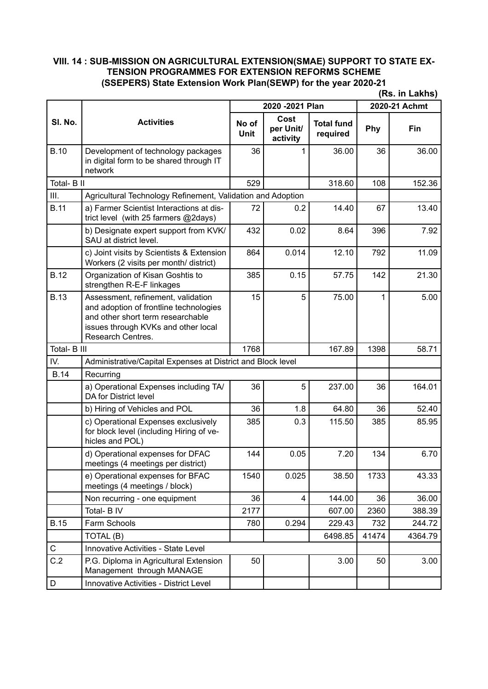|                                                                    |                                                                                                                                                                               | (Rs. in Lakhs)       |                               |                               |               |         |  |
|--------------------------------------------------------------------|-------------------------------------------------------------------------------------------------------------------------------------------------------------------------------|----------------------|-------------------------------|-------------------------------|---------------|---------|--|
|                                                                    |                                                                                                                                                                               | 2020 - 2021 Plan     |                               |                               | 2020-21 Achmt |         |  |
| SI. No.                                                            | <b>Activities</b>                                                                                                                                                             | No of<br><b>Unit</b> | Cost<br>per Unit/<br>activity | <b>Total fund</b><br>required | Phy           | Fin     |  |
| <b>B.10</b>                                                        | Development of technology packages<br>in digital form to be shared through IT<br>network                                                                                      | 36                   | 1                             | 36.00                         | 36            | 36.00   |  |
| Total- B II                                                        |                                                                                                                                                                               | 529                  |                               | 318.60                        | 108           | 152.36  |  |
| Ш.                                                                 | Agricultural Technology Refinement, Validation and Adoption                                                                                                                   |                      |                               |                               |               |         |  |
| <b>B.11</b>                                                        | a) Farmer Scientist Interactions at dis-<br>trict level (with 25 farmers @2days)                                                                                              | 72                   | 0.2                           | 14.40                         | 67            | 13.40   |  |
|                                                                    | b) Designate expert support from KVK/<br>SAU at district level.                                                                                                               | 432                  | 0.02                          | 8.64                          | 396           | 7.92    |  |
|                                                                    | c) Joint visits by Scientists & Extension<br>Workers (2 visits per month/ district)                                                                                           | 864                  | 0.014                         | 12.10                         | 792           | 11.09   |  |
| <b>B.12</b>                                                        | Organization of Kisan Goshtis to<br>strengthen R-E-F linkages                                                                                                                 | 385                  | 0.15                          | 57.75                         | 142           | 21.30   |  |
| <b>B.13</b>                                                        | Assessment, refinement, validation<br>and adoption of frontline technologies<br>and other short term researchable<br>issues through KVKs and other local<br>Research Centres. | 15                   | 5                             | 75.00                         | 1             | 5.00    |  |
| Total- B III                                                       |                                                                                                                                                                               | 1768                 |                               | 167.89                        | 1398          | 58.71   |  |
| IV.<br>Administrative/Capital Expenses at District and Block level |                                                                                                                                                                               |                      |                               |                               |               |         |  |
| <b>B.14</b>                                                        | Recurring                                                                                                                                                                     |                      |                               |                               |               |         |  |
|                                                                    | a) Operational Expenses including TA/<br>DA for District level                                                                                                                | 36                   | 5                             | 237.00                        | 36            | 164.01  |  |
|                                                                    | b) Hiring of Vehicles and POL                                                                                                                                                 | 36                   | 1.8                           | 64.80                         | 36            | 52.40   |  |
|                                                                    | c) Operational Expenses exclusively<br>for block level (including Hiring of ve-<br>hicles and POL)                                                                            | 385                  | 0.3                           | 115.50                        | 385           | 85.95   |  |
|                                                                    | d) Operational expenses for DFAC<br>meetings (4 meetings per district)                                                                                                        | 144                  | 0.05                          | 7.20                          | 134           | 6.70    |  |
|                                                                    | e) Operational expenses for BFAC<br>meetings (4 meetings / block)                                                                                                             | 1540                 | 0.025                         | 38.50                         | 1733          | 43.33   |  |
|                                                                    | Non recurring - one equipment                                                                                                                                                 | 36                   | 4                             | 144.00                        | 36            | 36.00   |  |
|                                                                    | Total- B IV                                                                                                                                                                   | 2177                 |                               | 607.00                        | 2360          | 388.39  |  |
| <b>B.15</b>                                                        | Farm Schools                                                                                                                                                                  | 780                  | 0.294                         | 229.43                        | 732           | 244.72  |  |
|                                                                    | TOTAL (B)                                                                                                                                                                     |                      |                               | 6498.85                       | 41474         | 4364.79 |  |
| ${\bf C}$                                                          | Innovative Activities - State Level                                                                                                                                           |                      |                               |                               |               |         |  |
| C.2                                                                | P.G. Diploma in Agricultural Extension<br>Management through MANAGE                                                                                                           | 50                   |                               | 3.00                          | 50            | 3.00    |  |
| D                                                                  | <b>Innovative Activities - District Level</b>                                                                                                                                 |                      |                               |                               |               |         |  |